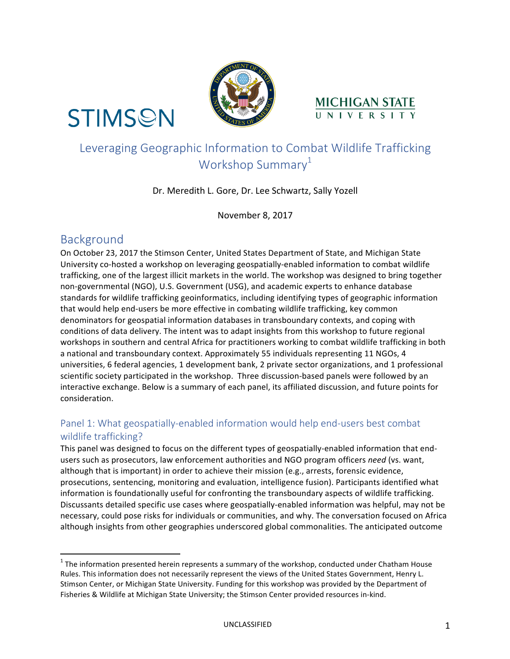

# **STIMSON**

## Leveraging Geographic Information to Combat Wildlife Trafficking Workshop Summary $1$

MICHIGAN STATE

#### Dr. Meredith L. Gore, Dr. Lee Schwartz, Sally Yozell

November 8, 2017

## Background

On October 23, 2017 the Stimson Center, United States Department of State, and Michigan State University co-hosted a workshop on leveraging geospatially-enabled information to combat wildlife trafficking, one of the largest illicit markets in the world. The workshop was designed to bring together non-governmental (NGO), U.S. Government (USG), and academic experts to enhance database standards for wildlife trafficking geoinformatics, including identifying types of geographic information that would help end-users be more effective in combating wildlife trafficking, key common denominators for geospatial information databases in transboundary contexts, and coping with conditions of data delivery. The intent was to adapt insights from this workshop to future regional workshops in southern and central Africa for practitioners working to combat wildlife trafficking in both a national and transboundary context. Approximately 55 individuals representing 11 NGOs, 4 universities, 6 federal agencies, 1 development bank, 2 private sector organizations, and 1 professional scientific society participated in the workshop. Three discussion-based panels were followed by an interactive exchange. Below is a summary of each panel, its affiliated discussion, and future points for consideration.

#### Panel 1: What geospatially-enabled information would help end-users best combat wildlife trafficking?

This panel was designed to focus on the different types of geospatially-enabled information that endusers such as prosecutors, law enforcement authorities and NGO program officers need (vs. want, although that is important) in order to achieve their mission (e.g., arrests, forensic evidence, prosecutions, sentencing, monitoring and evaluation, intelligence fusion). Participants identified what information is foundationally useful for confronting the transboundary aspects of wildlife trafficking. Discussants detailed specific use cases where geospatially-enabled information was helpful, may not be necessary, could pose risks for individuals or communities, and why. The conversation focused on Africa although insights from other geographies underscored global commonalities. The anticipated outcome

 $1$  The information presented herein represents a summary of the workshop, conducted under Chatham House Rules. This information does not necessarily represent the views of the United States Government, Henry L. Stimson Center, or Michigan State University. Funding for this workshop was provided by the Department of Fisheries & Wildlife at Michigan State University; the Stimson Center provided resources in-kind.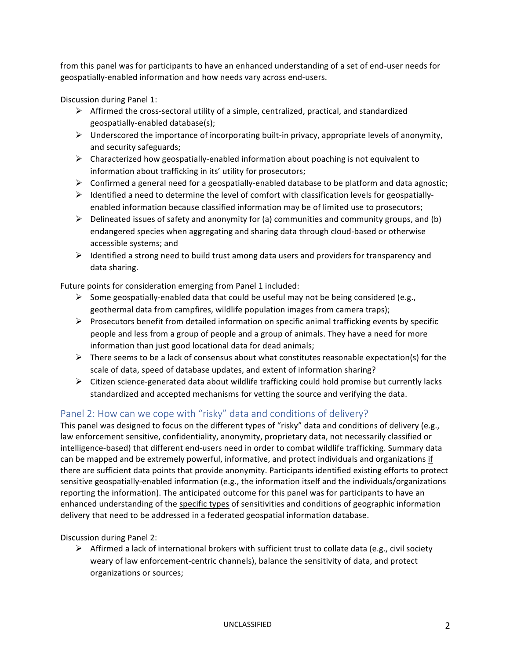from this panel was for participants to have an enhanced understanding of a set of end-user needs for geospatially-enabled information and how needs vary across end-users.

Discussion during Panel 1:

- $\triangleright$  Affirmed the cross-sectoral utility of a simple, centralized, practical, and standardized geospatially-enabled database(s);
- $\triangleright$  Underscored the importance of incorporating built-in privacy, appropriate levels of anonymity, and security safeguards;
- $\triangleright$  Characterized how geospatially-enabled information about poaching is not equivalent to information about trafficking in its' utility for prosecutors;
- $\triangleright$  Confirmed a general need for a geospatially-enabled database to be platform and data agnostic;
- $\triangleright$  Identified a need to determine the level of comfort with classification levels for geospatiallyenabled information because classified information may be of limited use to prosecutors;
- $\triangleright$  Delineated issues of safety and anonymity for (a) communities and community groups, and (b) endangered species when aggregating and sharing data through cloud-based or otherwise accessible systems; and
- $\triangleright$  Identified a strong need to build trust among data users and providers for transparency and data sharing.

Future points for consideration emerging from Panel 1 included:

- $\triangleright$  Some geospatially-enabled data that could be useful may not be being considered (e.g., geothermal data from campfires, wildlife population images from camera traps);
- $\triangleright$  Prosecutors benefit from detailed information on specific animal trafficking events by specific people and less from a group of people and a group of animals. They have a need for more information than just good locational data for dead animals;
- $\triangleright$  There seems to be a lack of consensus about what constitutes reasonable expectation(s) for the scale of data, speed of database updates, and extent of information sharing?
- $\triangleright$  Citizen science-generated data about wildlife trafficking could hold promise but currently lacks standardized and accepted mechanisms for vetting the source and verifying the data.

#### Panel 2: How can we cope with "risky" data and conditions of delivery?

This panel was designed to focus on the different types of "risky" data and conditions of delivery (e.g., law enforcement sensitive, confidentiality, anonymity, proprietary data, not necessarily classified or intelligence-based) that different end-users need in order to combat wildlife trafficking. Summary data can be mapped and be extremely powerful, informative, and protect individuals and organizations if there are sufficient data points that provide anonymity. Participants identified existing efforts to protect sensitive geospatially-enabled information (e.g., the information itself and the individuals/organizations reporting the information). The anticipated outcome for this panel was for participants to have an enhanced understanding of the specific types of sensitivities and conditions of geographic information delivery that need to be addressed in a federated geospatial information database.

Discussion during Panel 2:

 $\triangleright$  Affirmed a lack of international brokers with sufficient trust to collate data (e.g., civil society weary of law enforcement-centric channels), balance the sensitivity of data, and protect organizations or sources;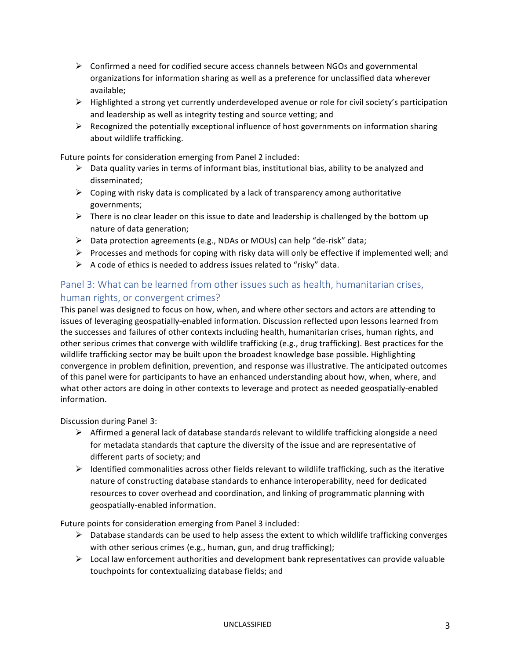- $\triangleright$  Confirmed a need for codified secure access channels between NGOs and governmental organizations for information sharing as well as a preference for unclassified data wherever available;
- $\triangleright$  Highlighted a strong yet currently underdeveloped avenue or role for civil society's participation and leadership as well as integrity testing and source vetting; and
- $\triangleright$  Recognized the potentially exceptional influence of host governments on information sharing about wildlife trafficking.

Future points for consideration emerging from Panel 2 included:

- $\triangleright$  Data quality varies in terms of informant bias, institutional bias, ability to be analyzed and disseminated;
- $\triangleright$  Coping with risky data is complicated by a lack of transparency among authoritative governments;
- $\triangleright$  There is no clear leader on this issue to date and leadership is challenged by the bottom up nature of data generation;
- $\triangleright$  Data protection agreements (e.g., NDAs or MOUs) can help "de-risk" data;
- $\triangleright$  Processes and methods for coping with risky data will only be effective if implemented well; and
- $\triangleright$  A code of ethics is needed to address issues related to "risky" data.

### Panel 3: What can be learned from other issues such as health, humanitarian crises, human rights, or convergent crimes?

This panel was designed to focus on how, when, and where other sectors and actors are attending to issues of leveraging geospatially-enabled information. Discussion reflected upon lessons learned from the successes and failures of other contexts including health, humanitarian crises, human rights, and other serious crimes that converge with wildlife trafficking (e.g., drug trafficking). Best practices for the wildlife trafficking sector may be built upon the broadest knowledge base possible. Highlighting convergence in problem definition, prevention, and response was illustrative. The anticipated outcomes of this panel were for participants to have an enhanced understanding about how, when, where, and what other actors are doing in other contexts to leverage and protect as needed geospatially-enabled information.

Discussion during Panel 3:

- $\triangleright$  Affirmed a general lack of database standards relevant to wildlife trafficking alongside a need for metadata standards that capture the diversity of the issue and are representative of different parts of society; and
- $\triangleright$  Identified commonalities across other fields relevant to wildlife trafficking, such as the iterative nature of constructing database standards to enhance interoperability, need for dedicated resources to cover overhead and coordination, and linking of programmatic planning with geospatially-enabled information.

Future points for consideration emerging from Panel 3 included:

- $\triangleright$  Database standards can be used to help assess the extent to which wildlife trafficking converges with other serious crimes (e.g., human, gun, and drug trafficking);
- $\triangleright$  Local law enforcement authorities and development bank representatives can provide valuable touchpoints for contextualizing database fields; and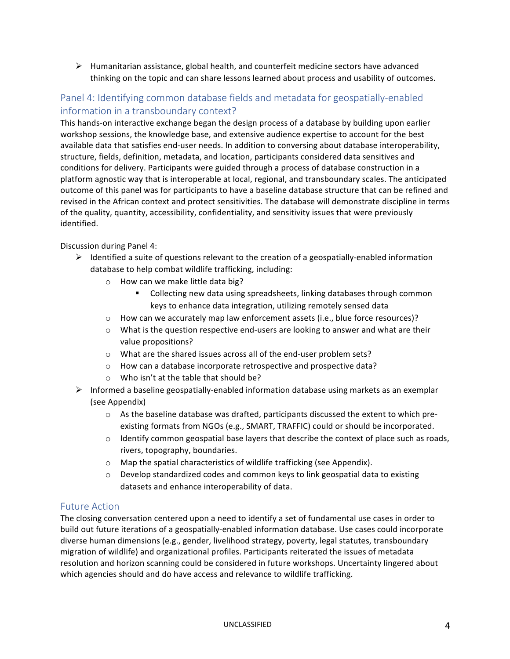$\triangleright$  Humanitarian assistance, global health, and counterfeit medicine sectors have advanced thinking on the topic and can share lessons learned about process and usability of outcomes.

#### Panel 4: Identifying common database fields and metadata for geospatially-enabled information in a transboundary context?

This hands-on interactive exchange began the design process of a database by building upon earlier workshop sessions, the knowledge base, and extensive audience expertise to account for the best available data that satisfies end-user needs. In addition to conversing about database interoperability, structure, fields, definition, metadata, and location, participants considered data sensitives and conditions for delivery. Participants were guided through a process of database construction in a platform agnostic way that is interoperable at local, regional, and transboundary scales. The anticipated outcome of this panel was for participants to have a baseline database structure that can be refined and revised in the African context and protect sensitivities. The database will demonstrate discipline in terms of the quality, quantity, accessibility, confidentiality, and sensitivity issues that were previously identified.

Discussion during Panel 4:

- $\triangleright$  Identified a suite of questions relevant to the creation of a geospatially-enabled information database to help combat wildlife trafficking, including:
	- o How can we make little data big?
		- Collecting new data using spreadsheets, linking databases through common keys to enhance data integration, utilizing remotely sensed data
	- $\circ$  How can we accurately map law enforcement assets (i.e., blue force resources)?
	- $\circ$  What is the question respective end-users are looking to answer and what are their value propositions?
	- $\circ$  What are the shared issues across all of the end-user problem sets?
	- o How can a database incorporate retrospective and prospective data?
	- $\circ$  Who isn't at the table that should be?
- $\triangleright$  Informed a baseline geospatially-enabled information database using markets as an exemplar (see Appendix)
	- $\circ$  As the baseline database was drafted, participants discussed the extent to which preexisting formats from NGOs (e.g., SMART, TRAFFIC) could or should be incorporated.
	- $\circ$  Identify common geospatial base layers that describe the context of place such as roads, rivers, topography, boundaries.
	- $\circ$  Map the spatial characteristics of wildlife trafficking (see Appendix).
	- $\circ$  Develop standardized codes and common keys to link geospatial data to existing datasets and enhance interoperability of data.

#### Future Action

The closing conversation centered upon a need to identify a set of fundamental use cases in order to build out future iterations of a geospatially-enabled information database. Use cases could incorporate diverse human dimensions (e.g., gender, livelihood strategy, poverty, legal statutes, transboundary migration of wildlife) and organizational profiles. Participants reiterated the issues of metadata resolution and horizon scanning could be considered in future workshops. Uncertainty lingered about which agencies should and do have access and relevance to wildlife trafficking.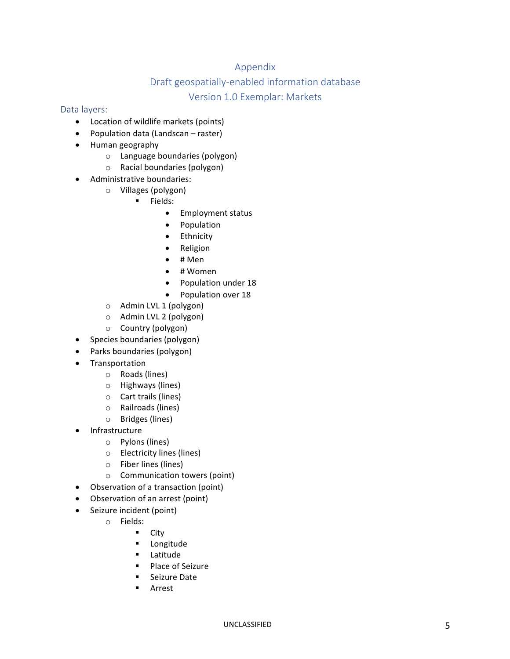#### Appendix

#### Draft geospatially-enabled information database

#### Version 1.0 Exemplar: Markets

#### Data layers:

- Location of wildlife markets (points)
- Population data (Landscan raster)
- Human geography
	- $\circ$  Language boundaries (polygon)
	- $\circ$  Racial boundaries (polygon)
- Administrative boundaries:
	- o Villages (polygon)
		- § Fields:
			- Employment status
			- Population
			- Ethnicity
			- Religion
			- $\bullet$  # Men
			- # Women
			- Population under 18
			- Population over 18
	- o Admin LVL 1 (polygon)
	- $\circ$  Admin LVL 2 (polygon)
	- o Country (polygon)
- Species boundaries (polygon)
- Parks boundaries (polygon)
- Transportation
	- o Roads (lines)
	- o Highways (lines)
	- $\circ$  Cart trails (lines)
	- o Railroads (lines)
	- o Bridges (lines)
- **Infrastructure** 
	- o Pylons (lines)
	- o Electricity lines (lines)
	- $\circ$  Fiber lines (lines)
	- $\circ$  Communication towers (point)
- Observation of a transaction (point)
- Observation of an arrest (point)
- Seizure incident (point)
	- o Fields:
		- City
			- § Longitude
			- § Latitude
			- Place of Seizure
		- Seizure Date
		- § Arrest